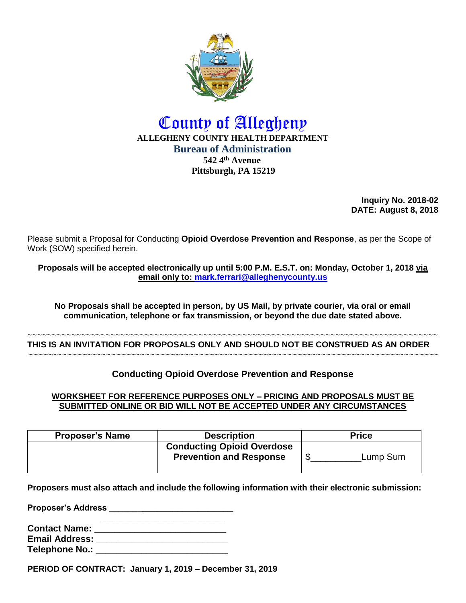

# County of Allegheny **ALLEGHENY COUNTY HEALTH DEPARTMENT Bureau of Administration 542 4th Avenue Pittsburgh, PA 15219**

**Inquiry No. 2018-02 DATE: August 8, 2018**

Please submit a Proposal for Conducting **Opioid Overdose Prevention and Response**, as per the Scope of Work (SOW) specified herein.

**Proposals will be accepted electronically up until 5:00 P.M. E.S.T. on: Monday, October 1, 2018 via email only to: [mark.ferrari@alleghenycounty.us](mailto:mark.ferrari@alleghenycounty.us)**

**No Proposals shall be accepted in person, by US Mail, by private courier, via oral or email communication, telephone or fax transmission, or beyond the due date stated above.**

~~~~~~~~~~~~~~~~~~~~~~~~~~~~~~~~~~~~~~~~~~~~~~~~~~~~~~~~~~~~~~~~~~~~~~~~~~~~~~~~~~~~ **THIS IS AN INVITATION FOR PROPOSALS ONLY AND SHOULD NOT BE CONSTRUED AS AN ORDER** ~~~~~~~~~~~~~~~~~~~~~~~~~~~~~~~~~~~~~~~~~~~~~~~~~~~~~~~~~~~~~~~~~~~~~~~~~~~~~~~~~~~~

**Conducting Opioid Overdose Prevention and Response**

#### **WORKSHEET FOR REFERENCE PURPOSES ONLY – PRICING AND PROPOSALS MUST BE SUBMITTED ONLINE OR BID WILL NOT BE ACCEPTED UNDER ANY CIRCUMSTANCES**

| <b>Proposer's Name</b> | <b>Description</b>                                                  | <b>Price</b> |
|------------------------|---------------------------------------------------------------------|--------------|
|                        | <b>Conducting Opioid Overdose</b><br><b>Prevention and Response</b> | Lump Sum     |

**Proposers must also attach and include the following information with their electronic submission:**

**Proposer's Address \_\_\_\_\_\_\_\_\_\_\_\_\_\_\_\_\_\_\_\_\_\_\_\_\_**

| <b>Contact Name:</b>  |  |
|-----------------------|--|
| <b>Email Address:</b> |  |
| Telephone No.:        |  |

**PERIOD OF CONTRACT: January 1, 2019 – December 31, 2019**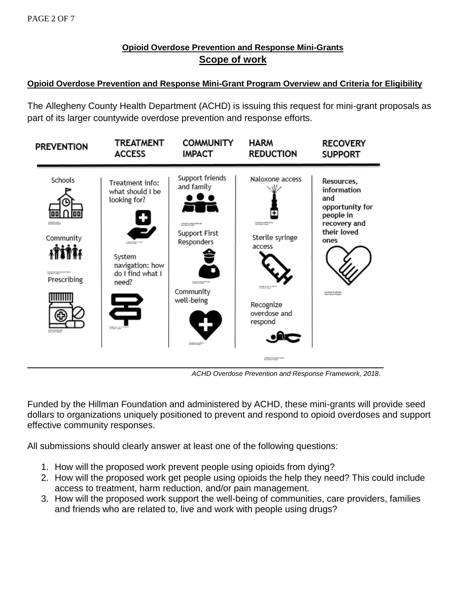## **Opioid Overdose Prevention and Response Mini-Grants Scope of work**

### **Opioid Overdose Prevention and Response Mini-Grant Program Overview and Criteria for Eligibility**

The Allegheny County Health Department (ACHD) is issuing this request for mini-grant proposals as part of its larger countywide overdose prevention and response efforts.



*ACHD Overdose Prevention and Response Framework, 2018*.

Funded by the Hillman Foundation and administered by ACHD, these mini-grants will provide seed dollars to organizations uniquely positioned to prevent and respond to opioid overdoses and support effective community responses.

All submissions should clearly answer at least one of the following questions:

- 1. How will the proposed work prevent people using opioids from dying?
- 2. How will the proposed work get people using opioids the help they need? This could include access to treatment, harm reduction, and/or pain management.
- 3. How will the proposed work support the well-being of communities, care providers, families and friends who are related to, live and work with people using drugs?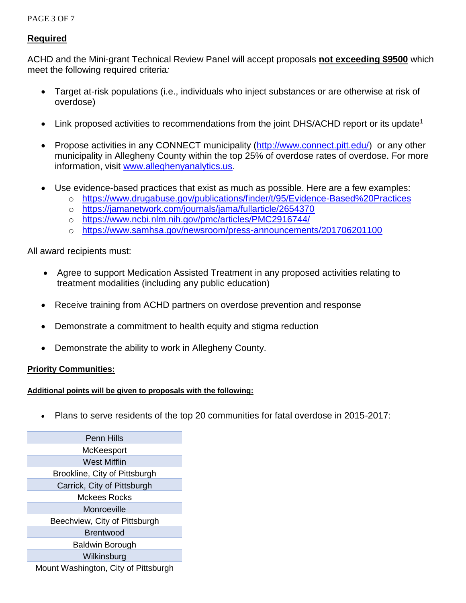#### PAGE 3 OF 7

#### **Required**

ACHD and the Mini-grant Technical Review Panel will accept proposals **not exceeding \$9500** which meet the following required criteria*:* 

- Target at-risk populations (i.e., individuals who inject substances or are otherwise at risk of overdose)
- Link proposed activities to recommendations from the joint DHS/ACHD report or its update<sup>1</sup>
- Propose activities in any CONNECT municipality [\(http://www.connect.pitt.edu/\)](http://www.connect.pitt.edu/) or any other municipality in Allegheny County within the top 25% of overdose rates of overdose. For more information, visit [www.alleghenyanalytics.us.](http://www.alleghenyanalytics.us/)
- Use evidence-based practices that exist as much as possible. Here are a few examples:
	- o <https://www.drugabuse.gov/publications/finder/t/95/Evidence-Based%20Practices>
	- o <https://jamanetwork.com/journals/jama/fullarticle/2654370>
	- o <https://www.ncbi.nlm.nih.gov/pmc/articles/PMC2916744/>
	- o <https://www.samhsa.gov/newsroom/press-announcements/201706201100>

All award recipients must:

- Agree to support Medication Assisted Treatment in any proposed activities relating to treatment modalities (including any public education)
- Receive training from ACHD partners on overdose prevention and response
- Demonstrate a commitment to health equity and stigma reduction
- Demonstrate the ability to work in Allegheny County.

#### **Priority Communities:**

#### **Additional points will be given to proposals with the following:**

• Plans to serve residents of the top 20 communities for fatal overdose in 2015-2017:

Penn Hills **McKeesport** West Mifflin Brookline, City of Pittsburgh Carrick, City of Pittsburgh Mckees Rocks Monroeville Beechview, City of Pittsburgh Brentwood Baldwin Borough **Wilkinsburg** Mount Washington, City of Pittsburgh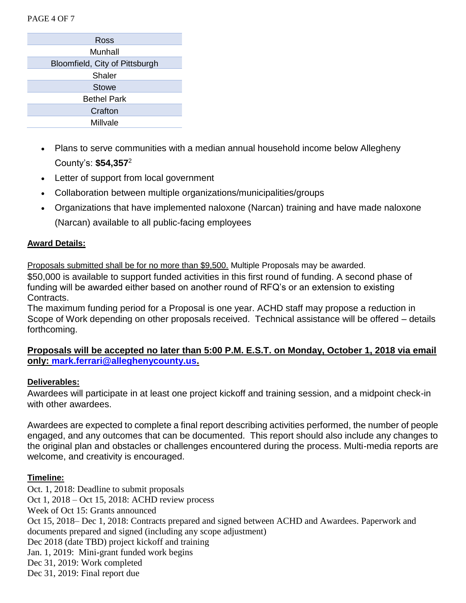PAGE 4 OF 7

| Ross                           |  |  |
|--------------------------------|--|--|
| Munhall                        |  |  |
| Bloomfield, City of Pittsburgh |  |  |
| <b>Shaler</b>                  |  |  |
| <b>Stowe</b>                   |  |  |
| <b>Bethel Park</b>             |  |  |
| Crafton                        |  |  |
| Millvale                       |  |  |

- Plans to serve communities with a median annual household income below Allegheny County's: **\$54,357**<sup>2</sup>
- Letter of support from local government
- Collaboration between multiple organizations/municipalities/groups
- Organizations that have implemented naloxone (Narcan) training and have made naloxone (Narcan) available to all public-facing employees

#### **Award Details:**

Proposals submitted shall be for no more than \$9,500. Multiple Proposals may be awarded. \$50,000 is available to support funded activities in this first round of funding. A second phase of funding will be awarded either based on another round of RFQ's or an extension to existing Contracts.

The maximum funding period for a Proposal is one year. ACHD staff may propose a reduction in Scope of Work depending on other proposals received. Technical assistance will be offered – details forthcoming.

## **Proposals will be accepted no later than 5:00 P.M. E.S.T. on Monday, October 1, 2018 via email only: [mark.ferrari@alleghenycounty.us.](mailto:mark.ferrari@alleghenycounty.us)**

#### **Deliverables:**

Awardees will participate in at least one project kickoff and training session, and a midpoint check-in with other awardees.

Awardees are expected to complete a final report describing activities performed, the number of people engaged, and any outcomes that can be documented. This report should also include any changes to the original plan and obstacles or challenges encountered during the process. Multi-media reports are welcome, and creativity is encouraged.

#### **Timeline:**

Oct. 1, 2018: Deadline to submit proposals Oct 1, 2018 – Oct 15, 2018: ACHD review process Week of Oct 15: Grants announced Oct 15, 2018– Dec 1, 2018: Contracts prepared and signed between ACHD and Awardees. Paperwork and documents prepared and signed (including any scope adjustment) Dec 2018 (date TBD) project kickoff and training Jan. 1, 2019: Mini-grant funded work begins Dec 31, 2019: Work completed Dec 31, 2019: Final report due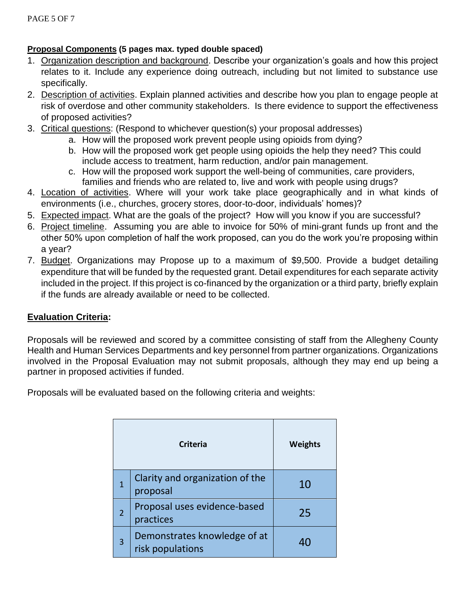## **Proposal Components (5 pages max. typed double spaced)**

- 1. Organization description and background. Describe your organization's goals and how this project relates to it. Include any experience doing outreach, including but not limited to substance use specifically.
- 2. Description of activities. Explain planned activities and describe how you plan to engage people at risk of overdose and other community stakeholders. Is there evidence to support the effectiveness of proposed activities?
- 3. Critical questions: (Respond to whichever question(s) your proposal addresses)
	- a. How will the proposed work prevent people using opioids from dying?
	- b. How will the proposed work get people using opioids the help they need? This could include access to treatment, harm reduction, and/or pain management.
	- c. How will the proposed work support the well-being of communities, care providers, families and friends who are related to, live and work with people using drugs?
- 4. Location of activities. Where will your work take place geographically and in what kinds of environments (i.e., churches, grocery stores, door-to-door, individuals' homes)?
- 5. Expected impact. What are the goals of the project? How will you know if you are successful?
- 6. Project timeline. Assuming you are able to invoice for 50% of mini-grant funds up front and the other 50% upon completion of half the work proposed, can you do the work you're proposing within a year?
- 7. Budget. Organizations may Propose up to a maximum of \$9,500. Provide a budget detailing expenditure that will be funded by the requested grant. Detail expenditures for each separate activity included in the project. If this project is co-financed by the organization or a third party, briefly explain if the funds are already available or need to be collected.

## **Evaluation Criteria:**

Proposals will be reviewed and scored by a committee consisting of staff from the Allegheny County Health and Human Services Departments and key personnel from partner organizations. Organizations involved in the Proposal Evaluation may not submit proposals, although they may end up being a partner in proposed activities if funded.

Proposals will be evaluated based on the following criteria and weights:

| <b>Criteria</b> |                                                  | <b>Weights</b> |
|-----------------|--------------------------------------------------|----------------|
| 1               | Clarity and organization of the<br>proposal      | 10             |
| 2               | Proposal uses evidence-based<br>practices        | 25             |
| 3               | Demonstrates knowledge of at<br>risk populations |                |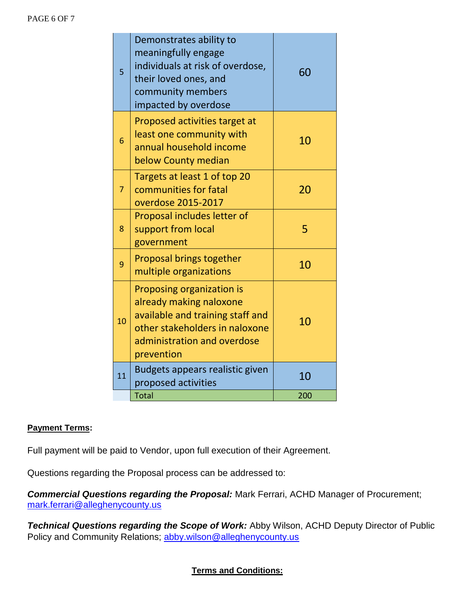#### PAGE 6 OF 7

| 5              | Demonstrates ability to<br>meaningfully engage<br>individuals at risk of overdose,<br>their loved ones, and<br>community members<br>impacted by overdose                | 60  |
|----------------|-------------------------------------------------------------------------------------------------------------------------------------------------------------------------|-----|
| 6              | Proposed activities target at<br>least one community with<br>annual household income<br>below County median                                                             | 10  |
| $\overline{7}$ | Targets at least 1 of top 20<br>communities for fatal<br>overdose 2015-2017                                                                                             | 20  |
| 8              | Proposal includes letter of<br>support from local<br>government                                                                                                         | 5   |
| 9              | Proposal brings together<br>multiple organizations                                                                                                                      | 10  |
| 10             | Proposing organization is<br>already making naloxone<br>available and training staff and<br>other stakeholders in naloxone<br>administration and overdose<br>prevention | 10  |
| 11             | Budgets appears realistic given<br>proposed activities                                                                                                                  | 10  |
|                | <b>Total</b>                                                                                                                                                            | 200 |

## **Payment Terms:**

Full payment will be paid to Vendor, upon full execution of their Agreement.

Questions regarding the Proposal process can be addressed to:

*Commercial Questions regarding the Proposal:* Mark Ferrari, ACHD Manager of Procurement; [mark.ferrari@alleghenycounty.us](mailto:mark.ferrari@alleghenycounty.us)

*Technical Questions regarding the Scope of Work:* Abby Wilson, ACHD Deputy Director of Public Policy and Community Relations; [abby.wilson@alleghenycounty.us](mailto:abby.wilson@alleghenycounty.us)

### **Terms and Conditions:**